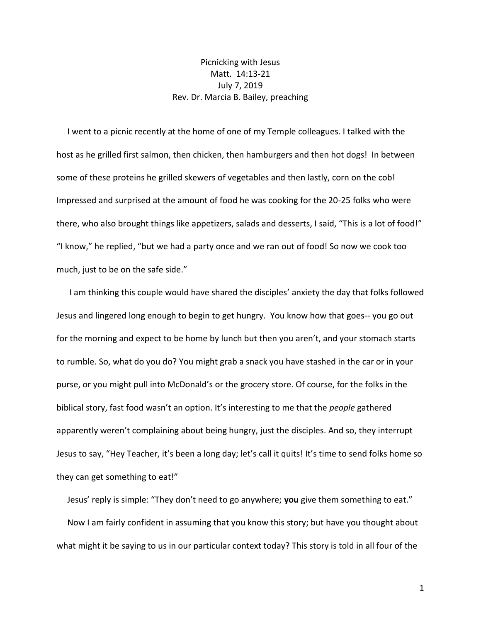## Picnicking with Jesus Matt. 14:13-21 July 7, 2019 Rev. Dr. Marcia B. Bailey, preaching

 I went to a picnic recently at the home of one of my Temple colleagues. I talked with the host as he grilled first salmon, then chicken, then hamburgers and then hot dogs! In between some of these proteins he grilled skewers of vegetables and then lastly, corn on the cob! Impressed and surprised at the amount of food he was cooking for the 20-25 folks who were there, who also brought things like appetizers, salads and desserts, I said, "This is a lot of food!" "I know," he replied, "but we had a party once and we ran out of food! So now we cook too much, just to be on the safe side."

 I am thinking this couple would have shared the disciples' anxiety the day that folks followed Jesus and lingered long enough to begin to get hungry. You know how that goes-- you go out for the morning and expect to be home by lunch but then you aren't, and your stomach starts to rumble. So, what do you do? You might grab a snack you have stashed in the car or in your purse, or you might pull into McDonald's or the grocery store. Of course, for the folks in the biblical story, fast food wasn't an option. It's interesting to me that the *people* gathered apparently weren't complaining about being hungry, just the disciples. And so, they interrupt Jesus to say, "Hey Teacher, it's been a long day; let's call it quits! It's time to send folks home so they can get something to eat!"

 Jesus' reply is simple: "They don't need to go anywhere; **you** give them something to eat." Now I am fairly confident in assuming that you know this story; but have you thought about what might it be saying to us in our particular context today? This story is told in all four of the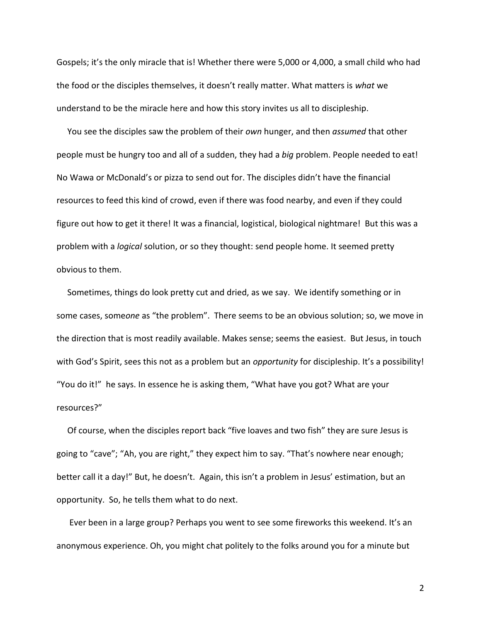Gospels; it's the only miracle that is! Whether there were 5,000 or 4,000, a small child who had the food or the disciples themselves, it doesn't really matter. What matters is *what* we understand to be the miracle here and how this story invites us all to discipleship.

 You see the disciples saw the problem of their *own* hunger, and then *assumed* that other people must be hungry too and all of a sudden, they had a *big* problem. People needed to eat! No Wawa or McDonald's or pizza to send out for. The disciples didn't have the financial resources to feed this kind of crowd, even if there was food nearby, and even if they could figure out how to get it there! It was a financial, logistical, biological nightmare! But this was a problem with a *logical* solution, or so they thought: send people home. It seemed pretty obvious to them.

 Sometimes, things do look pretty cut and dried, as we say. We identify something or in some cases, some*one* as "the problem". There seems to be an obvious solution; so, we move in the direction that is most readily available. Makes sense; seems the easiest. But Jesus, in touch with God's Spirit, sees this not as a problem but an *opportunity* for discipleship. It's a possibility! "You do it!" he says. In essence he is asking them, "What have you got? What are your resources?"

 Of course, when the disciples report back "five loaves and two fish" they are sure Jesus is going to "cave"; "Ah, you are right," they expect him to say. "That's nowhere near enough; better call it a day!" But, he doesn't. Again, this isn't a problem in Jesus' estimation, but an opportunity. So, he tells them what to do next.

 Ever been in a large group? Perhaps you went to see some fireworks this weekend. It's an anonymous experience. Oh, you might chat politely to the folks around you for a minute but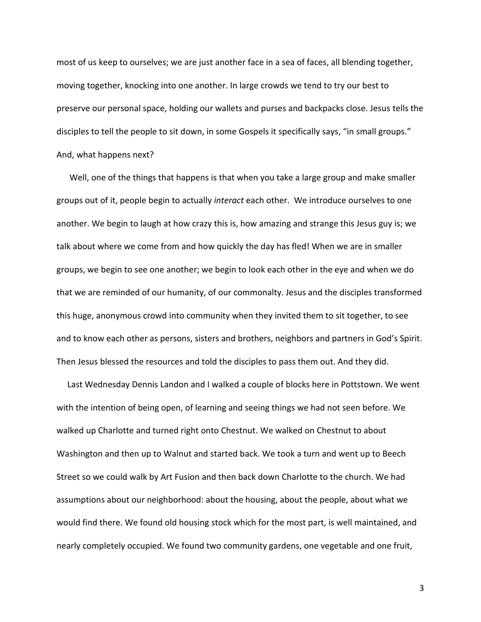most of us keep to ourselves; we are just another face in a sea of faces, all blending together, moving together, knocking into one another. In large crowds we tend to try our best to preserve our personal space, holding our wallets and purses and backpacks close. Jesus tells the disciples to tell the people to sit down, in some Gospels it specifically says, "in small groups." And, what happens next?

 Well, one of the things that happens is that when you take a large group and make smaller groups out of it, people begin to actually *interact* each other. We introduce ourselves to one another. We begin to laugh at how crazy this is, how amazing and strange this Jesus guy is; we talk about where we come from and how quickly the day has fled! When we are in smaller groups, we begin to see one another; we begin to look each other in the eye and when we do that we are reminded of our humanity, of our commonalty. Jesus and the disciples transformed this huge, anonymous crowd into community when they invited them to sit together, to see and to know each other as persons, sisters and brothers, neighbors and partners in God's Spirit. Then Jesus blessed the resources and told the disciples to pass them out. And they did.

 Last Wednesday Dennis Landon and I walked a couple of blocks here in Pottstown. We went with the intention of being open, of learning and seeing things we had not seen before. We walked up Charlotte and turned right onto Chestnut. We walked on Chestnut to about Washington and then up to Walnut and started back. We took a turn and went up to Beech Street so we could walk by Art Fusion and then back down Charlotte to the church. We had assumptions about our neighborhood: about the housing, about the people, about what we would find there. We found old housing stock which for the most part, is well maintained, and nearly completely occupied. We found two community gardens, one vegetable and one fruit,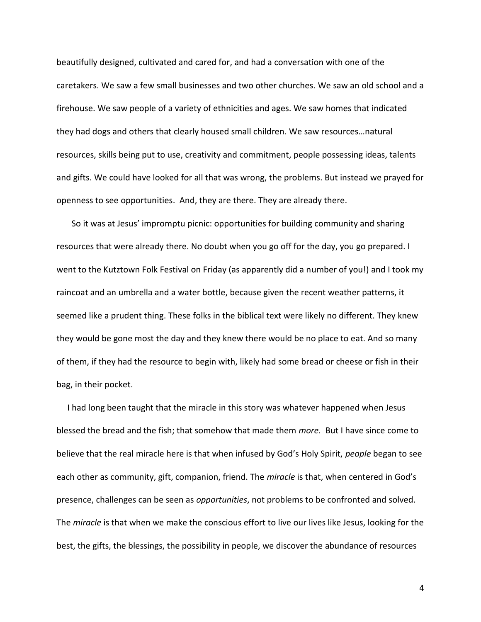beautifully designed, cultivated and cared for, and had a conversation with one of the caretakers. We saw a few small businesses and two other churches. We saw an old school and a firehouse. We saw people of a variety of ethnicities and ages. We saw homes that indicated they had dogs and others that clearly housed small children. We saw resources…natural resources, skills being put to use, creativity and commitment, people possessing ideas, talents and gifts. We could have looked for all that was wrong, the problems. But instead we prayed for openness to see opportunities. And, they are there. They are already there.

 So it was at Jesus' impromptu picnic: opportunities for building community and sharing resources that were already there. No doubt when you go off for the day, you go prepared. I went to the Kutztown Folk Festival on Friday (as apparently did a number of you!) and I took my raincoat and an umbrella and a water bottle, because given the recent weather patterns, it seemed like a prudent thing. These folks in the biblical text were likely no different. They knew they would be gone most the day and they knew there would be no place to eat. And so many of them, if they had the resource to begin with, likely had some bread or cheese or fish in their bag, in their pocket.

 I had long been taught that the miracle in this story was whatever happened when Jesus blessed the bread and the fish; that somehow that made them *more.* But I have since come to believe that the real miracle here is that when infused by God's Holy Spirit, *people* began to see each other as community, gift, companion, friend. The *miracle* is that, when centered in God's presence, challenges can be seen as *opportunities*, not problems to be confronted and solved. The *miracle* is that when we make the conscious effort to live our lives like Jesus, looking for the best, the gifts, the blessings, the possibility in people, we discover the abundance of resources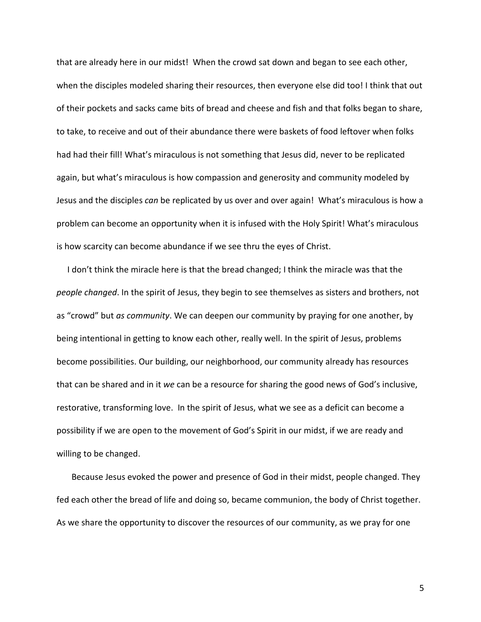that are already here in our midst! When the crowd sat down and began to see each other, when the disciples modeled sharing their resources, then everyone else did too! I think that out of their pockets and sacks came bits of bread and cheese and fish and that folks began to share, to take, to receive and out of their abundance there were baskets of food leftover when folks had had their fill! What's miraculous is not something that Jesus did, never to be replicated again, but what's miraculous is how compassion and generosity and community modeled by Jesus and the disciples *can* be replicated by us over and over again! What's miraculous is how a problem can become an opportunity when it is infused with the Holy Spirit! What's miraculous is how scarcity can become abundance if we see thru the eyes of Christ.

 I don't think the miracle here is that the bread changed; I think the miracle was that the *people changed*. In the spirit of Jesus, they begin to see themselves as sisters and brothers, not as "crowd" but *as community*. We can deepen our community by praying for one another, by being intentional in getting to know each other, really well. In the spirit of Jesus, problems become possibilities. Our building, our neighborhood, our community already has resources that can be shared and in it *we* can be a resource for sharing the good news of God's inclusive, restorative, transforming love. In the spirit of Jesus, what we see as a deficit can become a possibility if we are open to the movement of God's Spirit in our midst, if we are ready and willing to be changed.

 Because Jesus evoked the power and presence of God in their midst, people changed. They fed each other the bread of life and doing so, became communion, the body of Christ together. As we share the opportunity to discover the resources of our community, as we pray for one